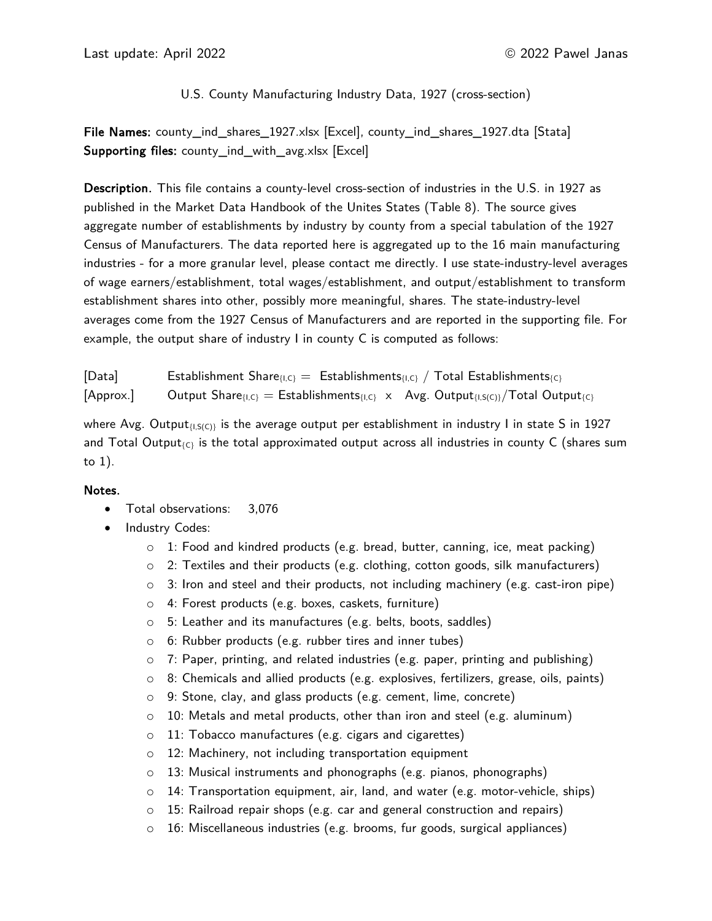# U.S. County Manufacturing Industry Data, 1927 (cross-section)

File Names: county\_ind\_shares\_1927.xlsx [Excel], county\_ind\_shares\_1927.dta [Stata] Supporting files: county\_ind\_with\_avg.xlsx [Excel]

Description. This file contains a county-level cross-section of industries in the U.S. in 1927 as published in the Market Data Handbook of the Unites States (Table 8). The source gives aggregate number of establishments by industry by county from a special tabulation of the 1927 Census of Manufacturers. The data reported here is aggregated up to the 16 main manufacturing industries - for a more granular level, please contact me directly. I use state-industry-level averages of wage earners/establishment, total wages/establishment, and output/establishment to transform establishment shares into other, possibly more meaningful, shares. The state-industry-level averages come from the 1927 Census of Manufacturers and are reported in the supporting file. For example, the output share of industry I in county C is computed as follows:

[Data] Establishment Share $I_{I,C}$  = Establishments $I_{I,C}$  / Total Establishments $I_{C}$  $[\text{Approx.}]$  Output Share $\{I_i\}_{C} = \text{Estabilisments}_{\{I,C\}} \times \text{Avg. Output}_{\{I,S(C)\}}/\text{Total Output}_{\{C\}}$ 

where Avg. Output $f(x)$  is the average output per establishment in industry I in state S in 1927 and Total Output<sub>{C}</sub> is the total approximated output across all industries in county C (shares sum to 1).

#### Notes.

- Total observations: 3,076
- Industry Codes:
	- $\circ$  1: Food and kindred products (e.g. bread, butter, canning, ice, meat packing)
	- $\circ$  2: Textiles and their products (e.g. clothing, cotton goods, silk manufacturers)
	- $\circ$  3: Iron and steel and their products, not including machinery (e.g. cast-iron pipe)
	- o 4: Forest products (e.g. boxes, caskets, furniture)
	- o 5: Leather and its manufactures (e.g. belts, boots, saddles)
	- o 6: Rubber products (e.g. rubber tires and inner tubes)
	- $\circ$  7: Paper, printing, and related industries (e.g. paper, printing and publishing)
	- $\circ$  8: Chemicals and allied products (e.g. explosives, fertilizers, grease, oils, paints)
	- o 9: Stone, clay, and glass products (e.g. cement, lime, concrete)
	- o 10: Metals and metal products, other than iron and steel (e.g. aluminum)
	- o 11: Tobacco manufactures (e.g. cigars and cigarettes)
	- o 12: Machinery, not including transportation equipment
	- o 13: Musical instruments and phonographs (e.g. pianos, phonographs)
	- $\circ$  14: Transportation equipment, air, land, and water (e.g. motor-vehicle, ships)
	- o 15: Railroad repair shops (e.g. car and general construction and repairs)
	- $\circ$  16: Miscellaneous industries (e.g. brooms, fur goods, surgical appliances)